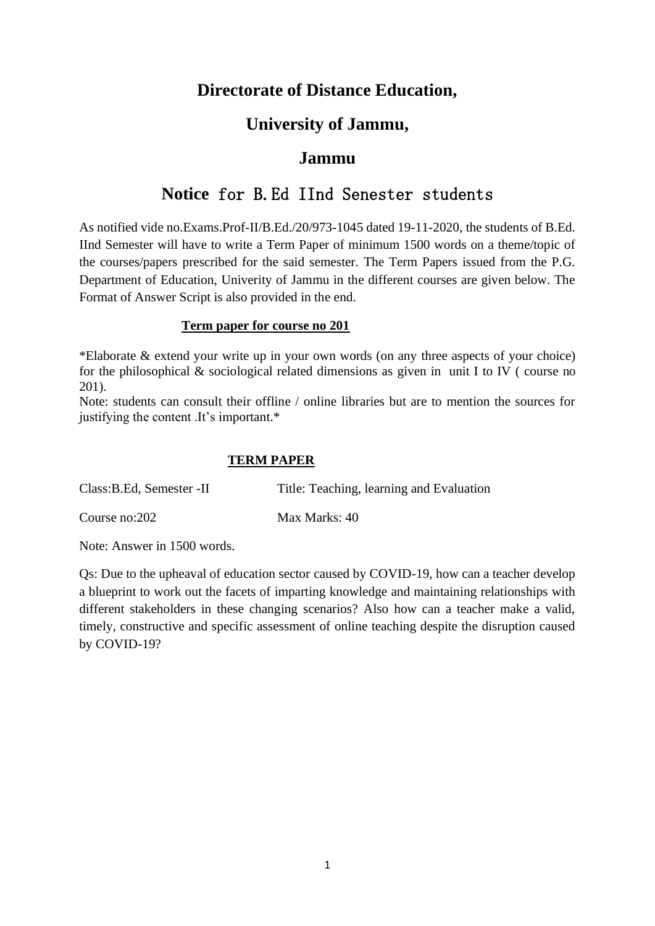## **Directorate of Distance Education,**

# **University of Jammu,**

## **Jammu**

## **Notice** for B.Ed IInd Senester students

As notified vide no.Exams.Prof-II/B.Ed./20/973-1045 dated 19-11-2020, the students of B.Ed. IInd Semester will have to write a Term Paper of minimum 1500 words on a theme/topic of the courses/papers prescribed for the said semester. The Term Papers issued from the P.G. Department of Education, Univerity of Jammu in the different courses are given below. The Format of Answer Script is also provided in the end.

## **Term paper for course no 201**

\*Elaborate & extend your write up in your own words (on any three aspects of your choice) for the philosophical  $\&$  sociological related dimensions as given in unit I to IV (course no 201).

Note: students can consult their offline / online libraries but are to mention the sources for justifying the content .It's important.\*

## **TERM PAPER**

| Class: B.Ed, Semester - II | Title: Teaching, learning and Evaluation |
|----------------------------|------------------------------------------|
|----------------------------|------------------------------------------|

Course no:202 Max Marks: 40

Note: Answer in 1500 words.

Qs: Due to the upheaval of education sector caused by COVID-19, how can a teacher develop a blueprint to work out the facets of imparting knowledge and maintaining relationships with different stakeholders in these changing scenarios? Also how can a teacher make a valid, timely, constructive and specific assessment of online teaching despite the disruption caused by COVID-19?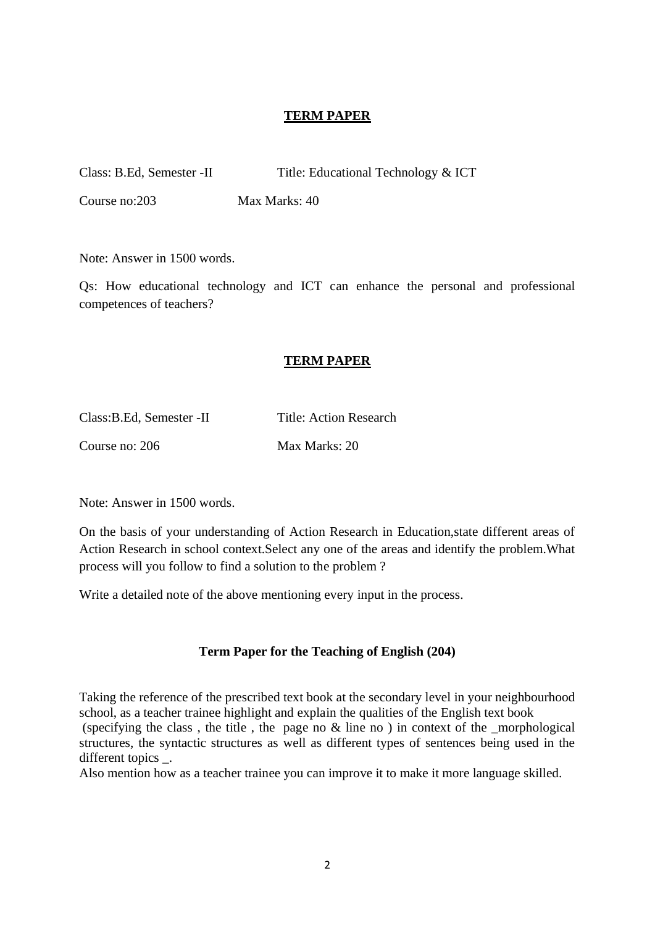### **TERM PAPER**

Class: B.Ed, Semester -II Title: Educational Technology & ICT

Course no:203 Max Marks: 40

Note: Answer in 1500 words.

Qs: How educational technology and ICT can enhance the personal and professional competences of teachers?

#### **TERM PAPER**

| Class: B.Ed, Semester - II | <b>Title: Action Research</b> |
|----------------------------|-------------------------------|
| Course no: 206             | Max Marks: 20                 |

Note: Answer in 1500 words.

On the basis of your understanding of Action Research in Education,state different areas of Action Research in school context.Select any one of the areas and identify the problem.What process will you follow to find a solution to the problem ?

Write a detailed note of the above mentioning every input in the process.

## **Term Paper for the Teaching of English (204)**

Taking the reference of the prescribed text book at the secondary level in your neighbourhood school, as a teacher trainee highlight and explain the qualities of the English text book (specifying the class, the title, the page no  $\&$  line no ) in context of the morphological structures, the syntactic structures as well as different types of sentences being used in the different topics \_.

Also mention how as a teacher trainee you can improve it to make it more language skilled.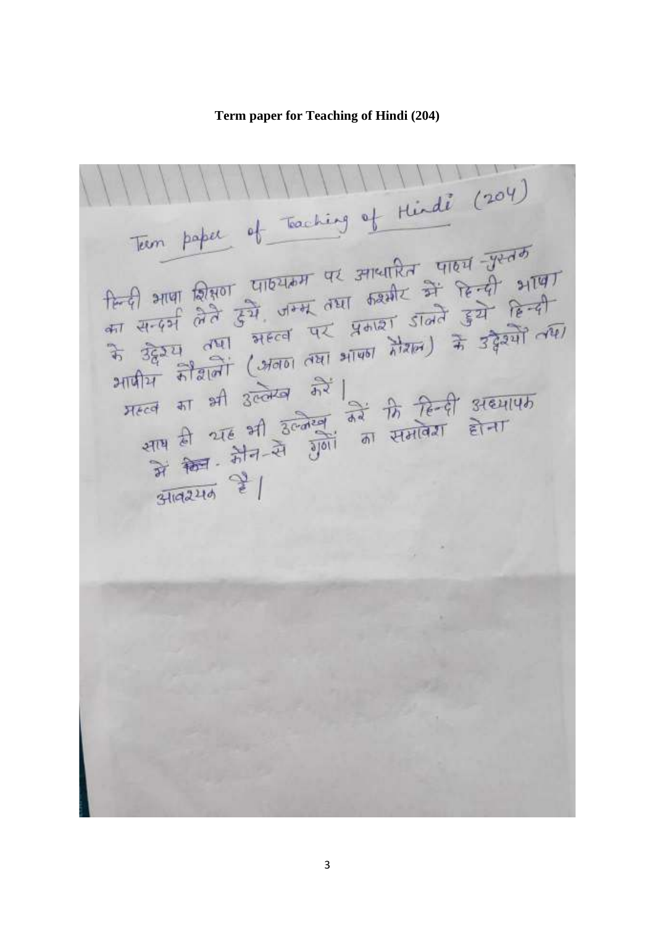## **Term paper for Teaching of Hindi (204)**

Teon paper of Teaching of Hindi (204) the of any total country and the country of the control of the control of the control of the control of the control of the control of the control of the control of the control of the control of the control of the control o (2)  $\frac{1}{100}$  and the start and the start of the start of the start of the start of the start of the start of the start of the start of the start of the start of the start of the start of the start of the start of the s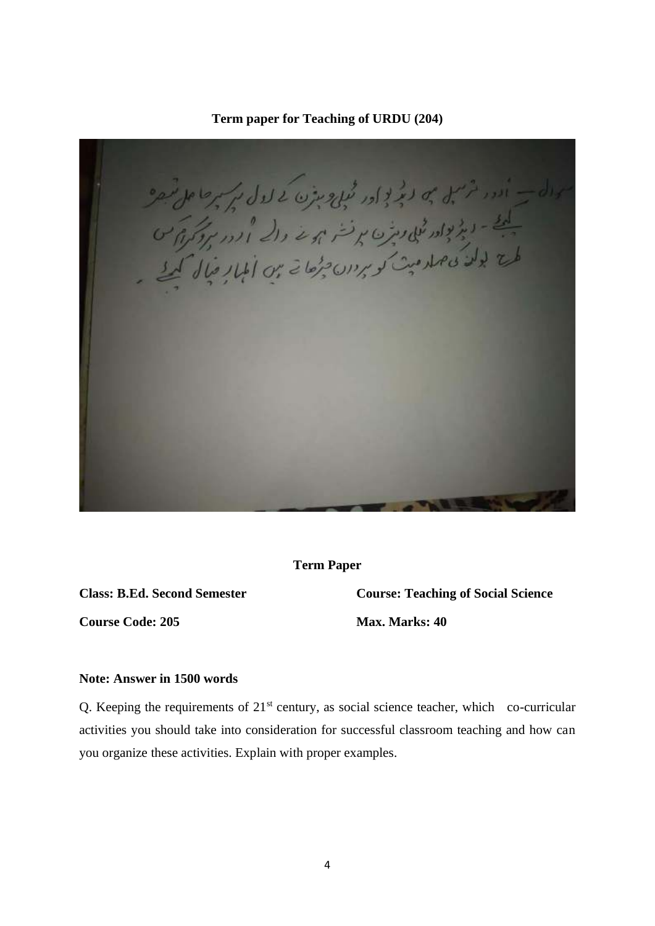**Term paper for Teaching of URDU (204)**

سوال - الله المرسم بعد المركز الدو شامع من من المرسم المرسم المرسم المرسم المرسم المرسم المرسم المرسم المرسم ال<br>المرسم المرسم المرسم المرسم المرسم المرسم المرسم المرسم المرسم المرسم المرسم المرسم المرسم المرسم المرسم المر

## **Term Paper**

**Class: B.Ed. Second Semester Course: Teaching of Social Science Course Code: 205 Max. Marks: 40** 

#### **Note: Answer in 1500 words**

Q. Keeping the requirements of  $21<sup>st</sup>$  century, as social science teacher, which co-curricular activities you should take into consideration for successful classroom teaching and how can you organize these activities. Explain with proper examples.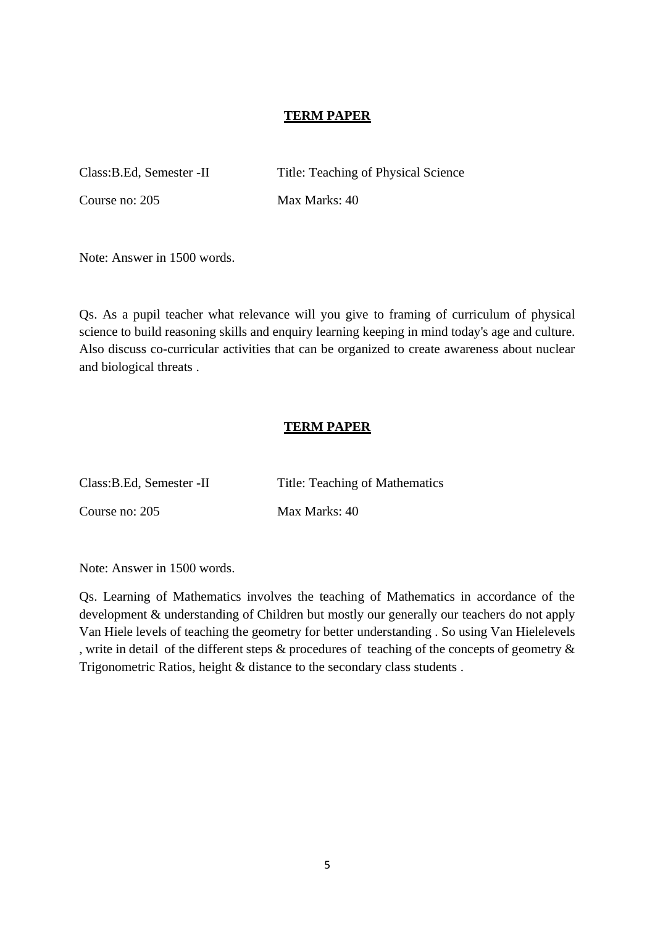### **TERM PAPER**

Class:B.Ed, Semester -II Title: Teaching of Physical Science

Course no: 205 Max Marks: 40

Note: Answer in 1500 words.

Qs. As a pupil teacher what relevance will you give to framing of curriculum of physical science to build reasoning skills and enquiry learning keeping in mind today's age and culture. Also discuss co-curricular activities that can be organized to create awareness about nuclear and biological threats .

## **TERM PAPER**

| Class: B.Ed, Semester - II | Title: Teaching of Mathematics |
|----------------------------|--------------------------------|
| Course no: 205             | Max Marks: 40                  |

Note: Answer in 1500 words.

Qs. Learning of Mathematics involves the teaching of Mathematics in accordance of the development & understanding of Children but mostly our generally our teachers do not apply Van Hiele levels of teaching the geometry for better understanding . So using Van Hielelevels , write in detail of the different steps & procedures of teaching of the concepts of geometry & Trigonometric Ratios, height & distance to the secondary class students .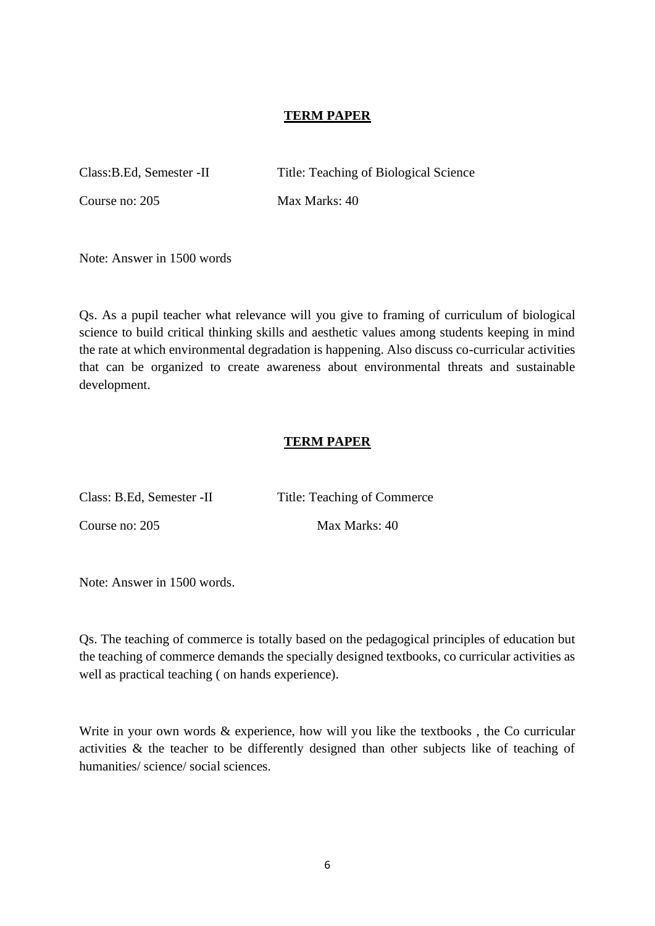#### **TERM PAPER**

Class:B.Ed, Semester -II Title: Teaching of Biological Science

Course no: 205 Max Marks: 40

Note: Answer in 1500 words

Qs. As a pupil teacher what relevance will you give to framing of curriculum of biological science to build critical thinking skills and aesthetic values among students keeping in mind the rate at which environmental degradation is happening. Also discuss co-curricular activities that can be organized to create awareness about environmental threats and sustainable development.

#### **TERM PAPER**

| Class: B.Ed, Semester -II | Title: Teaching of Commerce |
|---------------------------|-----------------------------|
| Course no: 205            | Max Marks: 40               |

Note: Answer in 1500 words.

Qs. The teaching of commerce is totally based on the pedagogical principles of education but the teaching of commerce demands the specially designed textbooks, co curricular activities as well as practical teaching ( on hands experience).

Write in your own words & experience, how will you like the textbooks, the Co curricular activities & the teacher to be differently designed than other subjects like of teaching of humanities/ science/ social sciences.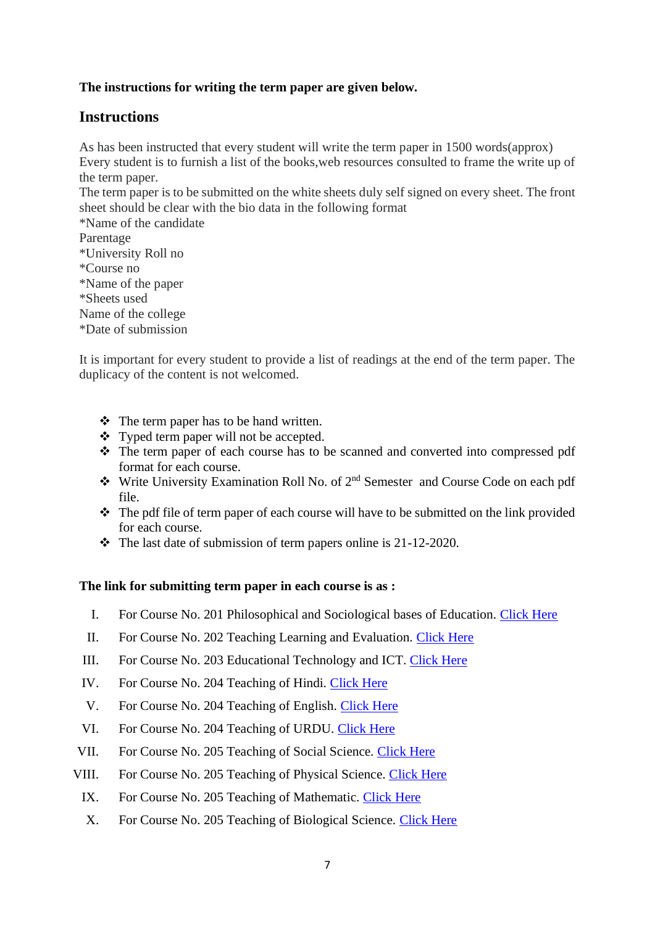## **The instructions for writing the term paper are given below.**

## **Instructions**

As has been instructed that every student will write the term paper in 1500 words(approx) Every student is to furnish a list of the books,web resources consulted to frame the write up of the term paper.

The term paper is to be submitted on the white sheets duly self signed on every sheet. The front sheet should be clear with the bio data in the following format

\*Name of the candidate Parentage \*University Roll no \*Course no \*Name of the paper \*Sheets used Name of the college \*Date of submission

It is important for every student to provide a list of readings at the end of the term paper. The duplicacy of the content is not welcomed.

- ❖ The term paper has to be hand written.
- ❖ Typed term paper will not be accepted.
- ❖ The term paper of each course has to be scanned and converted into compressed pdf format for each course.
- ❖ Write University Examination Roll No. of 2nd Semester and Course Code on each pdf file.
- ❖ The pdf file of term paper of each course will have to be submitted on the link provided for each course.
- ❖ The last date of submission of term papers online is 21-12-2020.

## **The link for submitting term paper in each course is as :**

- I. For Course No. 201 Philosophical and Sociological bases of Education. [Click Here](https://docs.google.com/forms/d/1AJb8bqkgKxR7BaOm87CcBE74skOzRY1Xtuq_DRsIiMA/edit)
- II. For Course No. 202 Teaching Learning and Evaluation. [Click Here](https://docs.google.com/forms/d/1V6F9LyYlP6qrSDSDcY1Vs1raWkqR1XuKMo-8XYqx1iw/edit)
- III. For Course No. 203 Educational Technology and ICT. [Click Here](https://docs.google.com/forms/d/10SqC1vcghO6pfQVA34AC-9tBVvt6_TB5dEpuSlAANoM/edit)
- IV. For Course No. 204 Teaching of Hindi. [Click Here](https://docs.google.com/forms/d/1KmJO0H8PHSXuubDGGKceSHl9rsaCz5trmwpRCTuOGDQ/edit)
- V. For Course No. 204 Teaching of English. [Click Here](https://docs.google.com/forms/d/1LqA47HgctlYTWIum5Ud8ipULLyl9hWXRQ-K-J_QoUVo/edit)
- VI. For Course No. 204 Teaching of URDU. [Click Here](https://docs.google.com/forms/d/1If3vNASrcCu24-NTMa6OCCm8X_lyb_27G8KrMVca8hM/edit)
- VII. For Course No. 205 Teaching of Social Science. [Click Here](https://docs.google.com/forms/d/1LgAmVALzspjsNIvGFqdI18Z1ATx4J6gzCcLB0O5asUA/edit)
- VIII. For Course No. 205 Teaching of Physical Science. [Click Here](https://docs.google.com/forms/d/1fcUbsJ22XIJt8YmId72D7qTgO5x7bh9-VdEIoO4prAc/edit)
	- IX. For Course No. 205 Teaching of Mathematic. [Click Here](https://docs.google.com/forms/d/1yE-GThVoqOvjJzBhGwvq0qv0ZuPwPJbvEkd9kgW9mM8/edit)
	- X. For Course No. 205 Teaching of Biological Science. [Click Here](https://docs.google.com/forms/d/1yE-GThVoqOvjJzBhGwvq0qv0ZuPwPJbvEkd9kgW9mM8/edit)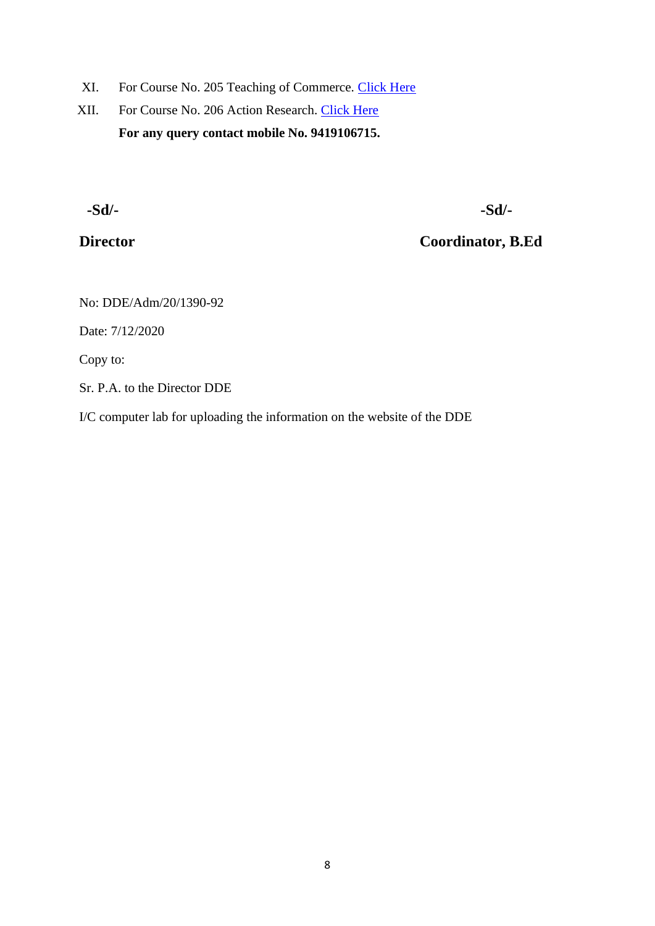- XI. For Course No. 205 Teaching of Commerce. [Click Here](https://docs.google.com/forms/d/1lCU9S1FyFjljmlzS9swARMWQZfBgx8vR2dYNrsyf5nM/edit)
- XII. For Course No. 206 Action Research. [Click Here](https://docs.google.com/forms/d/1t_R5trpN2aUjiJOBTZ_-cmkFU2SBH2jOcEvNda1zAiA/edit) **For any query contact mobile No. 9419106715.**

 **-Sd/- -Sd/-** 

**Director Coordinator, B.Ed**

No: DDE/Adm/20/1390-92

Date: 7/12/2020

Copy to:

Sr. P.A. to the Director DDE

I/C computer lab for uploading the information on the website of the DDE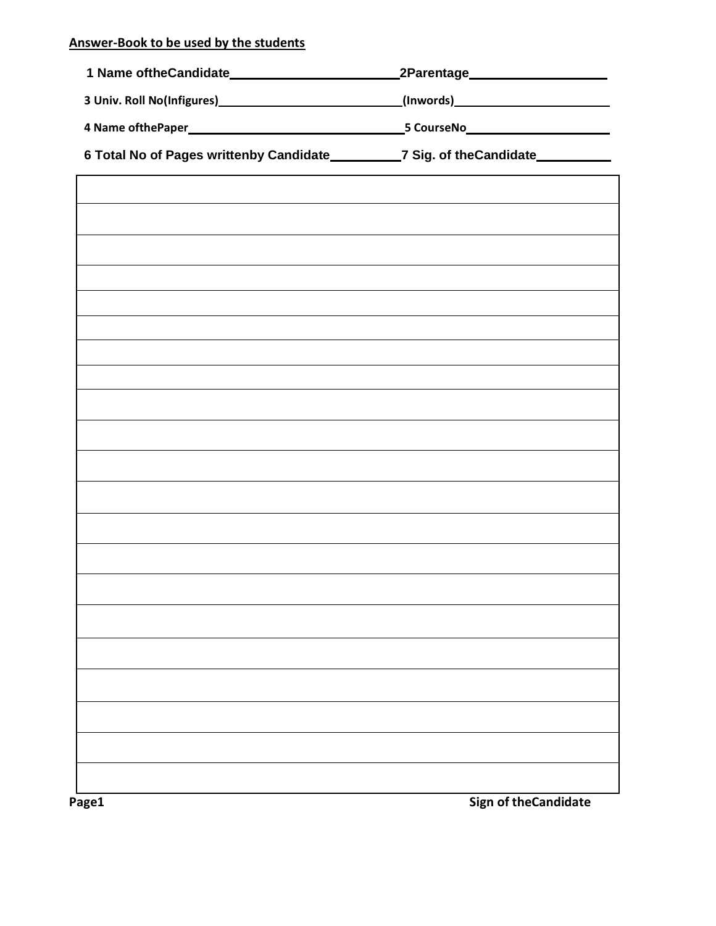| 3 Univ. Roll No(Infigures)_________________________________(Inwords)________________________________ |                       |
|------------------------------------------------------------------------------------------------------|-----------------------|
|                                                                                                      |                       |
| 6 Total No of Pages writtenby Candidate__________7 Sig. of theCandidate_________                     |                       |
|                                                                                                      |                       |
|                                                                                                      |                       |
|                                                                                                      |                       |
| ,我们也不会有什么。""我们的人,我们也不会有什么?""我们的人,我们也不会有什么?""我们的人,我们也不会有什么?""我们的人,我们也不会有什么?""我们的人                     |                       |
|                                                                                                      |                       |
|                                                                                                      |                       |
|                                                                                                      |                       |
|                                                                                                      |                       |
|                                                                                                      |                       |
|                                                                                                      |                       |
|                                                                                                      |                       |
|                                                                                                      |                       |
|                                                                                                      |                       |
|                                                                                                      |                       |
|                                                                                                      |                       |
|                                                                                                      |                       |
|                                                                                                      |                       |
|                                                                                                      |                       |
|                                                                                                      |                       |
|                                                                                                      |                       |
|                                                                                                      |                       |
|                                                                                                      |                       |
| Page1                                                                                                | Sign of the Candidate |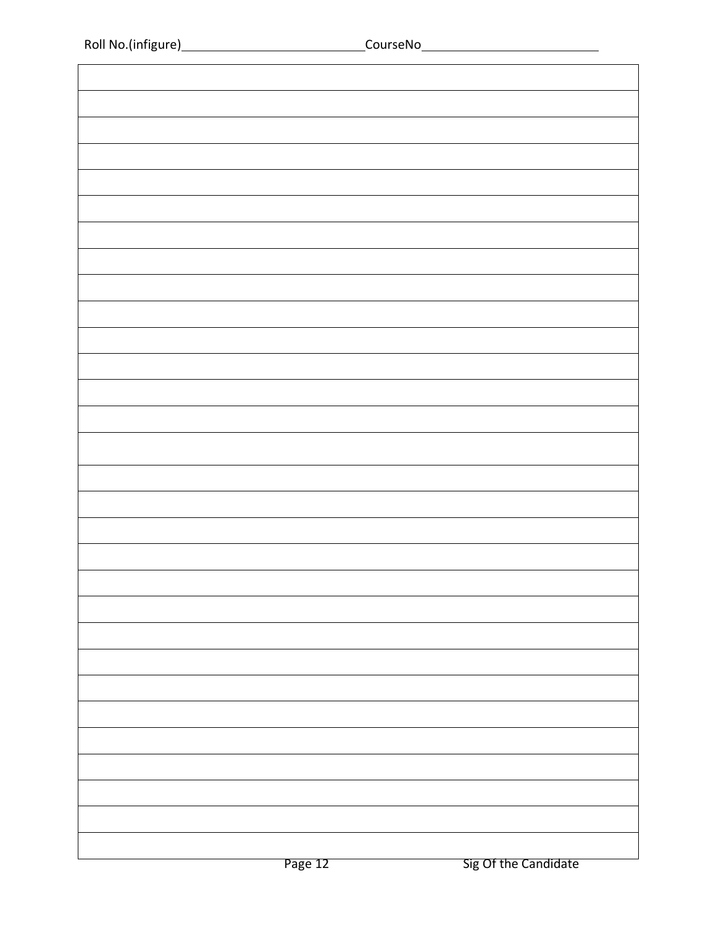| Page 12 | Sig Of the Candidate |
|---------|----------------------|
|         |                      |
|         |                      |
|         |                      |
|         |                      |
|         |                      |
|         |                      |
|         |                      |
|         |                      |
|         |                      |
|         |                      |
|         |                      |
|         |                      |
|         |                      |
|         |                      |
|         |                      |
|         |                      |
|         |                      |
|         |                      |
|         |                      |
|         |                      |
|         |                      |
|         |                      |
|         |                      |
|         |                      |
|         |                      |
|         |                      |
|         |                      |
|         |                      |
|         |                      |
|         |                      |
|         |                      |
|         |                      |
|         |                      |